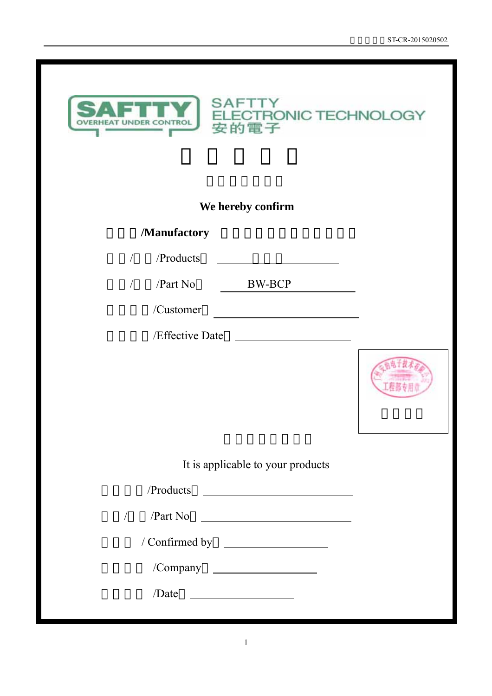

# **We hereby confirm**

**SAFTTY** 

安的電子

F

# 生产者**/Manufactory** 广州安的电子技术有限公司

| $\sqrt{r}$ /Products |
|----------------------|
|----------------------|

/ /Part No BW-BCP

/Customer

/Effective Date



It is applicable to your products

| /Products                                                            |
|----------------------------------------------------------------------|
| $\sqrt{Part No}$<br>$\sqrt{2}$                                       |
|                                                                      |
| /Company                                                             |
| /Date<br><u> 1989 - Andrea Station Books, amerikansk politiker (</u> |
|                                                                      |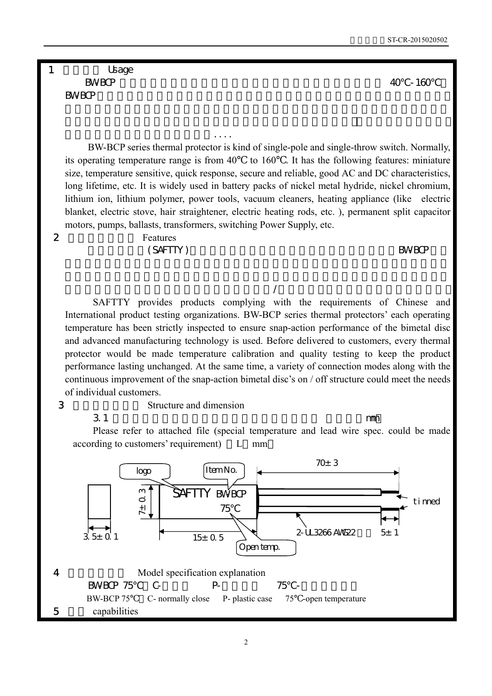1 Usage  $BWBCP$   $40$  -160  $\mathsf{BWBCP}\qquad\qquad$ 

 BW-BCP series thermal protector is kind of single-pole and single-throw switch. Normally, its operating temperature range is from 40 to 160 . It has the following features: miniature size, temperature sensitive, quick response, secure and reliable, good AC and DC characteristics, long lifetime, etc. It is widely used in battery packs of nickel metal hydride, nickel chromium, lithium ion, lithium polymer, power tools, vacuum cleaners, heating appliance (like electric blanket, electric stove, hair straightener, electric heating rods, etc. ), permanent split capacitor motors, pumps, ballasts, transformers, switching Power Supply, etc.

 $\mathbb{R}^n$ 

### 2 Features  $(SAFTTY)$  BW-BCP

镇流器、变压器、开关电源等产品....

## $\sqrt{ }$

 SAFTTY provides products complying with the requirements of Chinese and International product testing organizations. BW-BCP series thermal protectors' each operating temperature has been strictly inspected to ensure snap-action performance of the bimetal disc and advanced manufacturing technology is used. Before delivered to customers, every thermal protector would be made temperature calibration and quality testing to keep the product performance lasting unchanged. At the same time, a variety of connection modes along with the continuous improvement of the snap-action bimetal disc's on / off structure could meet the needs of individual customers.

3 Structure and dimension

 $3.1$  mm

 Please refer to attached file (special temperature and lead wire spec. could be made according to customers' requirement) L mm

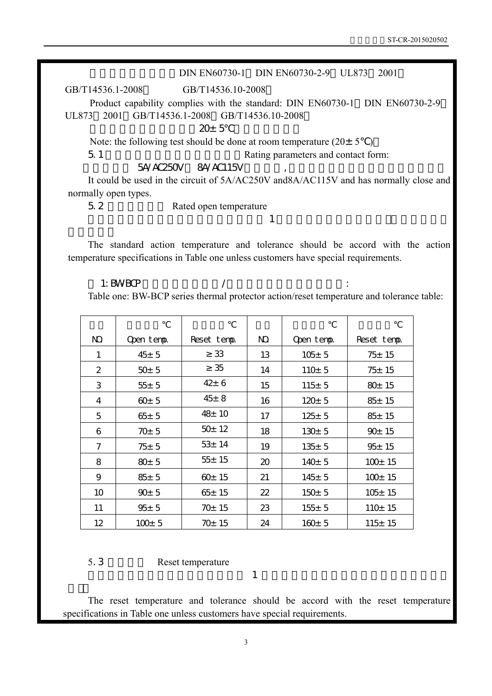### DIN EN60730-1 DIN EN60730-2-9 UL873 2001

GB/T14536.1-2008 GB/T14536.10-2008

 Product capability complies with the standard: DIN EN60730-1 DIN EN60730-2-9 UL873 2001 GB/T14536.1-2008 GB/T14536.10-2008

 $20±5$ 

Note: the following test should be done at room temperature  $(20 \pm 5)$ 

5.1 Rating parameters and contact form:

5A/AC250V 8A/AC115V

 It could be used in the circuit of 5A/AC250V and8A/AC115V and has normally close and normally open types.

产品的标准动作温度和允许公差应符合表 1 中的动作温度规格的要求,客户有特殊要

5.2 Rated open temperature

 The standard action temperature and tolerance should be accord with the action temperature specifications in Table one unless customers have special requirements.

 $\sim$  1: BW-BCP  $\sim$  / Table one: BW-BCP series thermal protector action/reset temperature and tolerance table:

| NQ.           | Open temp. | Reset temp. | NQ. | Open temp.  | Reset temp.  |
|---------------|------------|-------------|-----|-------------|--------------|
| 1             | $45 \pm 5$ | 33          | 13  | $105 \pm 5$ | $75 + 15$    |
| $\mathcal{P}$ | $50+5$     | 35          | 14  | $110+5$     | $75 + 15$    |
| 3             | $55 + 5$   | $42 + 6$    | 15  | $115 + 5$   | $80+15$      |
| 4             | $60+5$     | $45 \pm 8$  | 16  | $120 \pm 5$ | $85 + 15$    |
| 5             | $65 \pm 5$ | $48 \pm 10$ | 17  | $125 \pm 5$ | 85±15        |
| 6             | $70+5$     | $50+12$     | 18  | $130+5$     | 90±15        |
| 7             | $75 + 5$   | $53 + 14$   | 19  | $135+5$     | 95±15        |
| 8             | $80 \pm 5$ | $55 + 15$   | 20  | 140±5       | $100+15$     |
| 9             | $85 \pm 5$ | $60+15$     | 21  | 145± 5      | $100+15$     |
| 10            | 90± 5      | $65 + 15$   | 22  | $150+5$     | $105 \pm 15$ |
| 11            | $95 \pm 5$ | 70± 15      | 23  | $155 + 5$   | $110+15$     |
| 12            | $100+5$    | $70+15$     | 24  | $160+5$     | $115 + 15$   |

5. 3 Reset temperature

 The reset temperature and tolerance should be accord with the reset temperature specifications in Table one unless customers have special requirements.

 $\overline{a}$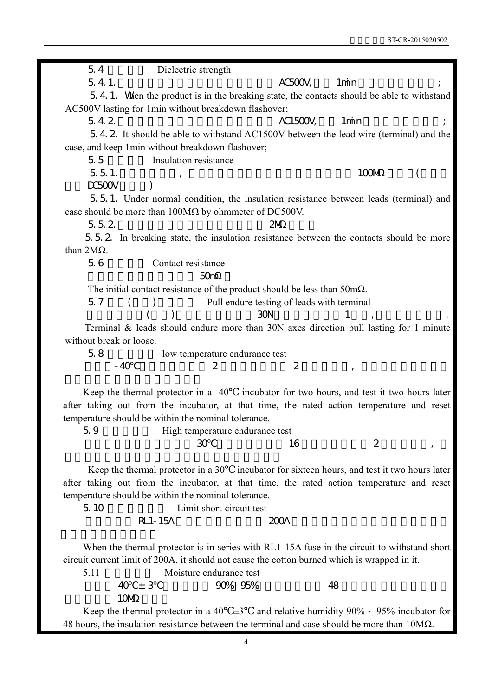5.4 Dielectric strength  $5.4.1.$   $AC500V,$   $1min$   $\qquad$ ; 5.4.1. When the product is in the breaking state, the contacts should be able to withstand AC500V lasting for 1min without breakdown flashover;  $5.4.2$  AC1500V, 1min ; 5.4.2. It should be able to withstand AC1500V between the lead wire (terminal) and the case, and keep 1min without breakdown flashover; 5.5 **b** Insulation resistance  $5.5.1.$  (100M)  $DC500V$   $)$ 5.5.1. Under normal condition, the insulation resistance between leads (terminal) and case should be more than  $100M\Omega$  by ohmmeter of DC500V. 5.5.2. 2M 5.5.2. In breaking state, the insulation resistance between the contacts should be more than 2MΩ. 5.6 Contact resistance  $50m$ The initial contact resistance of the product should be less than 50mΩ. 5.7 () Pull endure testing of leads with terminal  $($  ) 30N 1, 1 Terminal & leads should endure more than 30N axes direction pull lasting for 1 minute without break or loose 5.8 **b** low temperature endurance test  $-40$  2  $-2$  , Keep the thermal protector in a -40 incubator for two hours, and test it two hours later after taking out from the incubator, at that time, the rated action temperature and reset temperature should be within the nominal tolerance. 5.9 High temperature endurance test  $\overline{30}$  30  $\overline{16}$  16  $\overline{2}$  , Keep the thermal protector in a 30 incubator for sixteen hours, and test it two hours later after taking out from the incubator, at that time, the rated action temperature and reset temperature should be within the nominal tolerance. 5.10 Limit short-circuit test  $RL1-15A$  200A When the thermal protector is in series with RL1-15A fuse in the circuit to withstand short circuit current limit of 200A, it should not cause the cotton burned which is wrapped in it. 5.11 Moisture endurance test  $-40 \pm 3$  90% 95% and 48 10M Keep the thermal protector in a 40  $\pm$ 3 and relative humidity 90% ~ 95% incubator for

48 hours, the insulation resistance between the terminal and case should be more than 10MΩ.